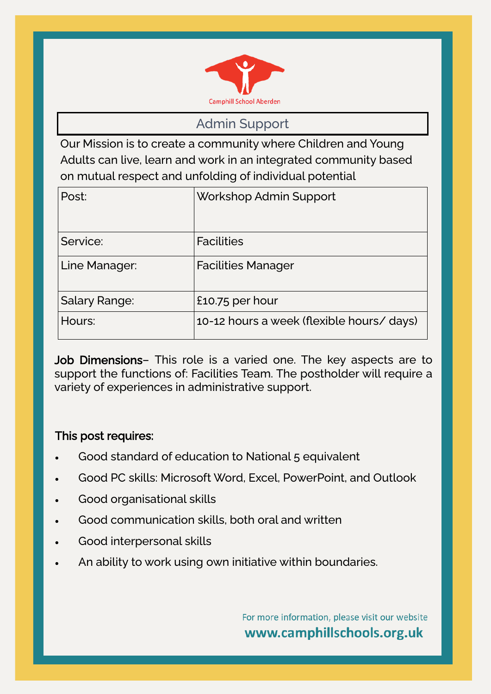

Admin Support

Our Mission is to create a community where Children and Young Adults can live, learn and work in an integrated community based on mutual respect and unfolding of individual potential

| Post:                | Workshop Admin Support                    |
|----------------------|-------------------------------------------|
| Service:             | <b>Facilities</b>                         |
| Line Manager:        | <b>Facilities Manager</b>                 |
| <b>Salary Range:</b> | £10.75 per hour                           |
| Hours:               | 10-12 hours a week (flexible hours/ days) |

Job Dimensions- This role is a varied one. The key aspects are to support the functions of: Facilities Team. The postholder will require a variety of experiences in administrative support.

#### This post requires:

- Good standard of education to National 5 equivalent
- Good PC skills: Microsoft Word, Excel, PowerPoint, and Outlook
- Good organisational skills
- Good communication skills, both oral and written
- Good interpersonal skills
- An ability to work using own initiative within boundaries.

For more information, please visit our website www.camphillschools.org.uk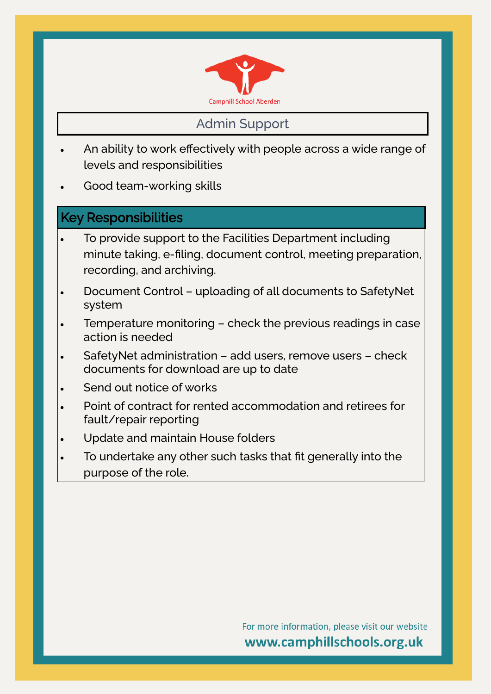

### Admin Support

- An ability to work effectively with people across a wide range of levels and responsibilities
- Good team-working skills

#### Key Responsibilities

- To provide support to the Facilities Department including minute taking, e-filing, document control, meeting preparation, recording, and archiving.
- Document Control uploading of all documents to SafetyNet system
- Temperature monitoring check the previous readings in case action is needed
- SafetyNet administration add users, remove users check documents for download are up to date
- Send out notice of works
- Point of contract for rented accommodation and retirees for fault/repair reporting
- Update and maintain House folders
- To undertake any other such tasks that fit generally into the purpose of the role.

For more information, please visit our website www.camphillschools.org.uk